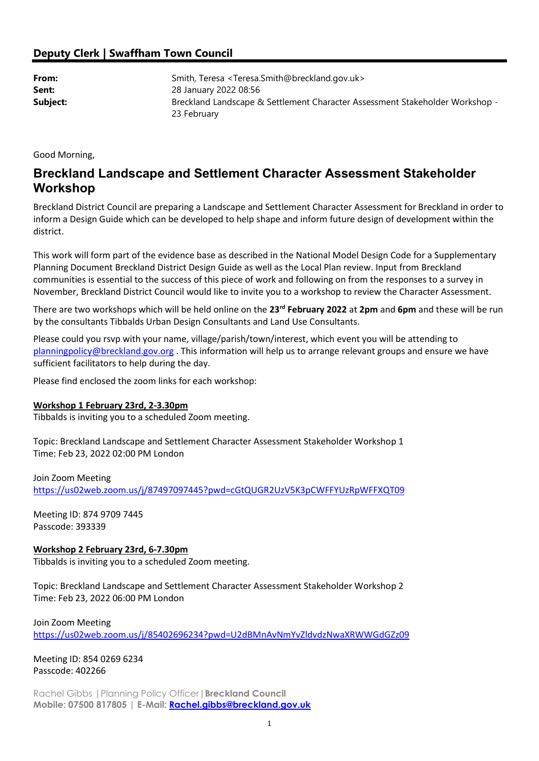## Deputy Clerk | Swaffham Town Council

| From:    | Smith, Teresa <teresa.smith@breckland.gov.uk></teresa.smith@breckland.gov.uk> |
|----------|-------------------------------------------------------------------------------|
| Sent:    | 28 January 2022 08:56                                                         |
| Subject: | Breckland Landscape & Settlement Character Assessment Stakeholder Workshop -  |
|          | 23 February                                                                   |

Good Morning,

## Breckland Landscape and Settlement Character Assessment Stakeholder Workshop

Breckland District Council are preparing a Landscape and Settlement Character Assessment for Breckland in order to inform a Design Guide which can be developed to help shape and inform future design of development within the district.

This work will form part of the evidence base as described in the National Model Design Code for a Supplementary Planning Document Breckland District Design Guide as well as the Local Plan review. Input from Breckland communities is essential to the success of this piece of work and following on from the responses to a survey in November, Breckland District Council would like to invite you to a workshop to review the Character Assessment.

There are two workshops which will be held online on the 23<sup>rd</sup> February 2022 at 2pm and 6pm and these will be run by the consultants Tibbalds Urban Design Consultants and Land Use Consultants.

Please could you rsvp with your name, village/parish/town/interest, which event you will be attending to planningpolicy@breckland.gov.org . This information will help us to arrange relevant groups and ensure we have sufficient facilitators to help during the day.

Please find enclosed the zoom links for each workshop:

## Workshop 1 February 23rd, 2-3.30pm

Tibbalds is inviting you to a scheduled Zoom meeting.

Topic: Breckland Landscape and Settlement Character Assessment Stakeholder Workshop 1 Time: Feb 23, 2022 02:00 PM London

Join Zoom Meeting https://us02web.zoom.us/j/87497097445?pwd=cGtQUGR2UzV5K3pCWFFYUzRpWFFXQT09

Meeting ID: 874 9709 7445 Passcode: 393339

Workshop 2 February 23rd, 6-7.30pm

Tibbalds is inviting you to a scheduled Zoom meeting.

Topic: Breckland Landscape and Settlement Character Assessment Stakeholder Workshop 2 Time: Feb 23, 2022 06:00 PM London

Join Zoom Meeting https://us02web.zoom.us/j/85402696234?pwd=U2dBMnAvNmYvZldvdzNwaXRWWGdGZz09

Meeting ID: 854 0269 6234 Passcode: 402266

Rachel Gibbs | Planning Policy Officer | Breckland Council Mobile: 07500 817805 | E-Mail: Rachel.gibbs@breckland.gov.uk